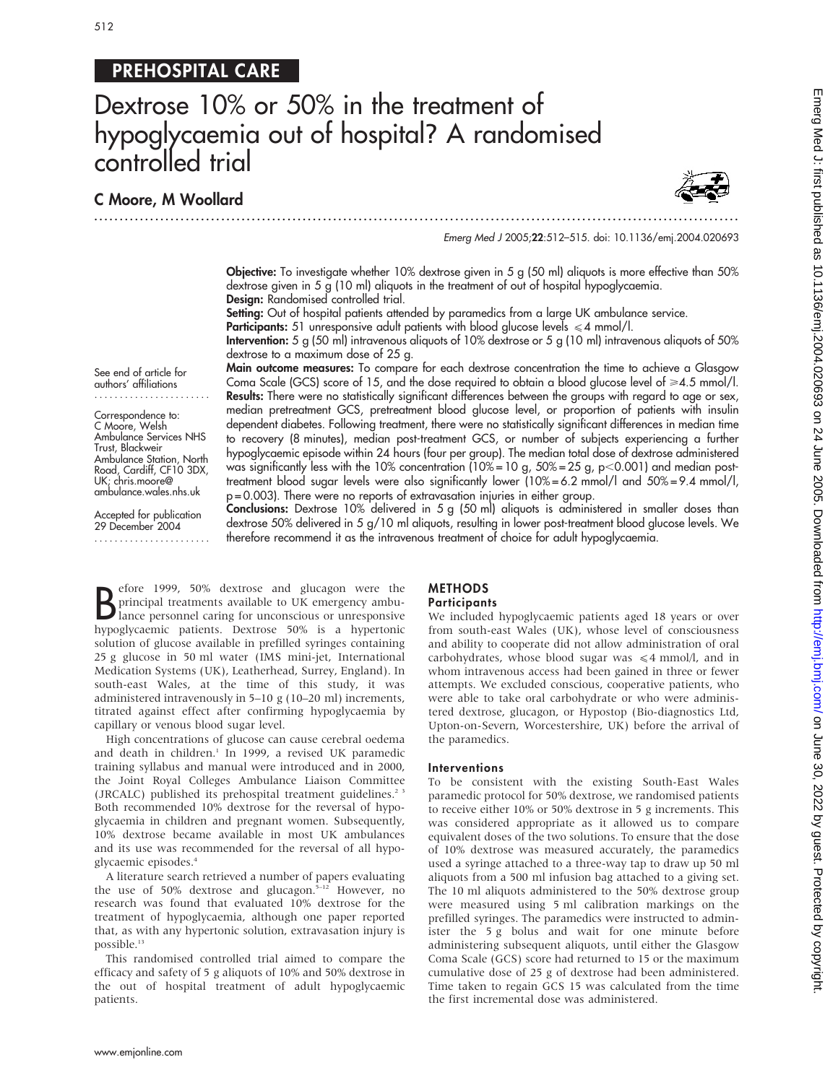# 512

# PREHOSPITAL CARE

...............................................................................................................................

# Dextrose 10% or 50% in the treatment of hypoglycaemia out of hospital? A randomised controlled trial

# C Moore, M Woollard

See end of article for authors' affiliations ....................... Correspondence to: C Moore, Welsh Ambulance Services NHS Trust, Blackweir Ambulance Station, North Road, Cardiff, CF10 3DX, UK; chris.moore@ ambulance.wales.nhs.uk Accepted for publication 29 December 2004 .......................



#### Emerg Med J 2005;22:512–515. doi: 10.1136/emj.2004.020693

Objective: To investigate whether 10% dextrose given in 5 g (50 ml) aliquots is more effective than 50% dextrose given in 5 g (10 ml) aliquots in the treatment of out of hospital hypoglycaemia. Design: Randomised controlled trial.

Setting: Out of hospital patients attended by paramedics from a large UK ambulance service.

**Participants:** 51 unresponsive adult patients with blood glucose levels  $\leq 4$  mmol/l.

Intervention: 5 g (50 ml) intravenous aliquots of 10% dextrose or 5 g (10 ml) intravenous aliquots of 50% dextrose to a maximum dose of 25 g.

Main outcome measures: To compare for each dextrose concentration the time to achieve a Glasgow Coma Scale (GCS) score of 15, and the dose required to obtain a blood glucose level of  $\geq 4.5$  mmol/l. Results: There were no statistically significant differences between the groups with regard to age or sex, median pretreatment GCS, pretreatment blood glucose level, or proportion of patients with insulin dependent diabetes. Following treatment, there were no statistically significant differences in median time to recovery (8 minutes), median post-treatment GCS, or number of subjects experiencing a further hypoglycaemic episode within 24 hours (four per group). The median total dose of dextrose administered was significantly less with the 10% concentration (10% = 10 g,  $50\%$  = 25 g, p $<$ 0.001) and median posttreatment blood sugar levels were also significantly lower (10% = 6.2 mmol/l and 50% = 9.4 mmol/l, p = 0.003). There were no reports of extravasation injuries in either group.

Conclusions: Dextrose 10% delivered in 5 g (50 ml) aliquots is administered in smaller doses than dextrose 50% delivered in 5 g/10 ml aliquots, resulting in lower post-treatment blood glucose levels. We therefore recommend it as the intravenous treatment of choice for adult hypoglycaemia.

B principal treatments available to UK emergency ambu-<br>lance personnel caring for unconscious or unresponsive<br>hypodycagnic, patients. Dextress 50% is a hypertonic efore 1999, 50% dextrose and glucagon were the principal treatments available to UK emergency ambuhypoglycaemic patients. Dextrose 50% is a hypertonic solution of glucose available in prefilled syringes containing 25 g glucose in 50 ml water (IMS mini-jet, International Medication Systems (UK), Leatherhead, Surrey, England). In south-east Wales, at the time of this study, it was administered intravenously in 5–10 g (10–20 ml) increments, titrated against effect after confirming hypoglycaemia by capillary or venous blood sugar level.

High concentrations of glucose can cause cerebral oedema and death in children.<sup>1</sup> In 1999, a revised UK paramedic training syllabus and manual were introduced and in 2000, the Joint Royal Colleges Ambulance Liaison Committee (JRCALC) published its prehospital treatment guidelines.<sup>2</sup> Both recommended 10% dextrose for the reversal of hypoglycaemia in children and pregnant women. Subsequently, 10% dextrose became available in most UK ambulances and its use was recommended for the reversal of all hypoglycaemic episodes.4

A literature search retrieved a number of papers evaluating the use of 50% dextrose and glucagon.<sup>5-12</sup> However, no research was found that evaluated 10% dextrose for the treatment of hypoglycaemia, although one paper reported that, as with any hypertonic solution, extravasation injury is possible.<sup>13</sup>

This randomised controlled trial aimed to compare the efficacy and safety of 5 g aliquots of 10% and 50% dextrose in the out of hospital treatment of adult hypoglycaemic patients.

#### METHODS **Participants**

## We included hypoglycaemic patients aged 18 years or over from south-east Wales (UK), whose level of consciousness and ability to cooperate did not allow administration of oral carbohydrates, whose blood sugar was  $\leq 4$  mmol/l, and in whom intravenous access had been gained in three or fewer attempts. We excluded conscious, cooperative patients, who were able to take oral carbohydrate or who were administered dextrose, glucagon, or Hypostop (Bio-diagnostics Ltd, Upton-on-Severn, Worcestershire, UK) before the arrival of the paramedics.

#### Interventions

To be consistent with the existing South-East Wales paramedic protocol for 50% dextrose, we randomised patients to receive either 10% or 50% dextrose in 5 g increments. This was considered appropriate as it allowed us to compare equivalent doses of the two solutions. To ensure that the dose of 10% dextrose was measured accurately, the paramedics used a syringe attached to a three-way tap to draw up 50 ml aliquots from a 500 ml infusion bag attached to a giving set. The 10 ml aliquots administered to the 50% dextrose group were measured using 5 ml calibration markings on the prefilled syringes. The paramedics were instructed to administer the 5 g bolus and wait for one minute before administering subsequent aliquots, until either the Glasgow Coma Scale (GCS) score had returned to 15 or the maximum cumulative dose of 25 g of dextrose had been administered. Time taken to regain GCS 15 was calculated from the time the first incremental dose was administered.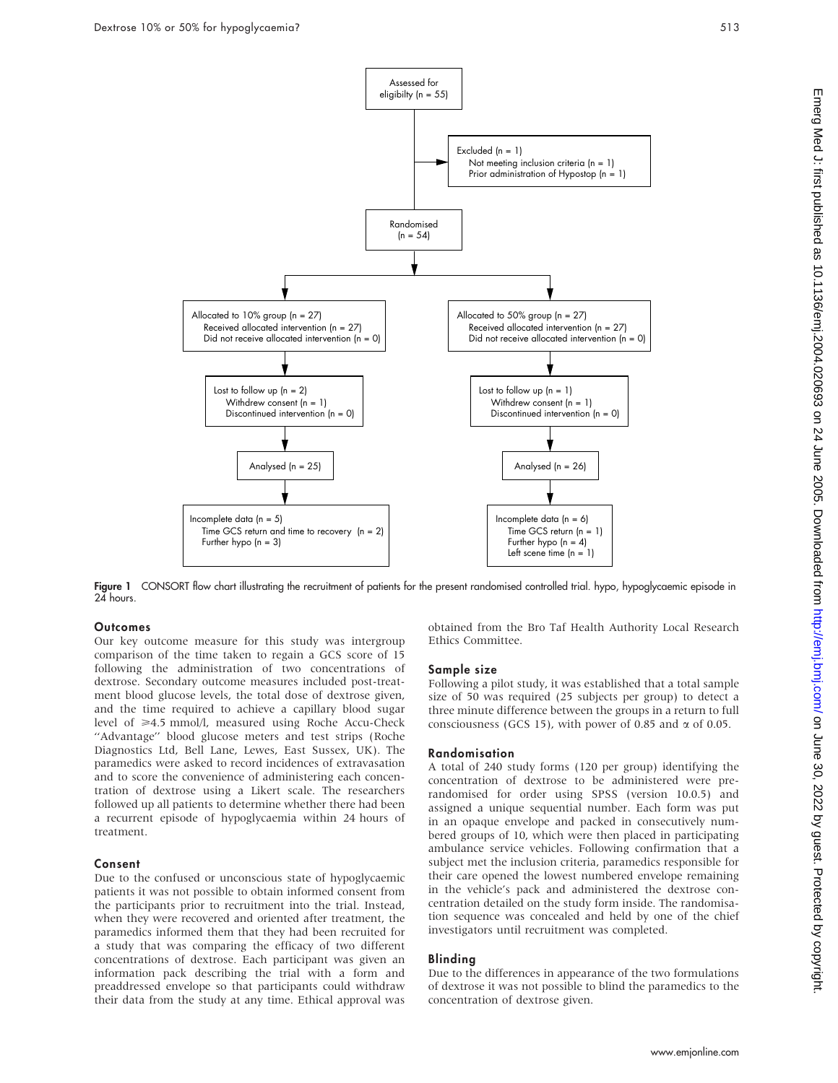

Figure 1 CONSORT flow chart illustrating the recruitment of patients for the present randomised controlled trial. hypo, hypoglycaemic episode in 24 hours.

## **Outcomes**

Our key outcome measure for this study was intergroup comparison of the time taken to regain a GCS score of 15 following the administration of two concentrations of dextrose. Secondary outcome measures included post-treatment blood glucose levels, the total dose of dextrose given, and the time required to achieve a capillary blood sugar level of  $\geq 4.5$  mmol/l, measured using Roche Accu-Check "Advantage" blood glucose meters and test strips (Roche Diagnostics Ltd, Bell Lane, Lewes, East Sussex, UK). The paramedics were asked to record incidences of extravasation and to score the convenience of administering each concentration of dextrose using a Likert scale. The researchers followed up all patients to determine whether there had been a recurrent episode of hypoglycaemia within 24 hours of treatment.

# Consent

Due to the confused or unconscious state of hypoglycaemic patients it was not possible to obtain informed consent from the participants prior to recruitment into the trial. Instead, when they were recovered and oriented after treatment, the paramedics informed them that they had been recruited for a study that was comparing the efficacy of two different concentrations of dextrose. Each participant was given an information pack describing the trial with a form and preaddressed envelope so that participants could withdraw their data from the study at any time. Ethical approval was

obtained from the Bro Taf Health Authority Local Research Ethics Committee.

#### Sample size

Following a pilot study, it was established that a total sample size of 50 was required (25 subjects per group) to detect a three minute difference between the groups in a return to full consciousness (GCS 15), with power of 0.85 and  $\alpha$  of 0.05.

#### Randomisation

A total of 240 study forms (120 per group) identifying the concentration of dextrose to be administered were prerandomised for order using SPSS (version 10.0.5) and assigned a unique sequential number. Each form was put in an opaque envelope and packed in consecutively numbered groups of 10, which were then placed in participating ambulance service vehicles. Following confirmation that a subject met the inclusion criteria, paramedics responsible for their care opened the lowest numbered envelope remaining in the vehicle's pack and administered the dextrose concentration detailed on the study form inside. The randomisation sequence was concealed and held by one of the chief investigators until recruitment was completed.

### Blinding

Due to the differences in appearance of the two formulations of dextrose it was not possible to blind the paramedics to the concentration of dextrose given.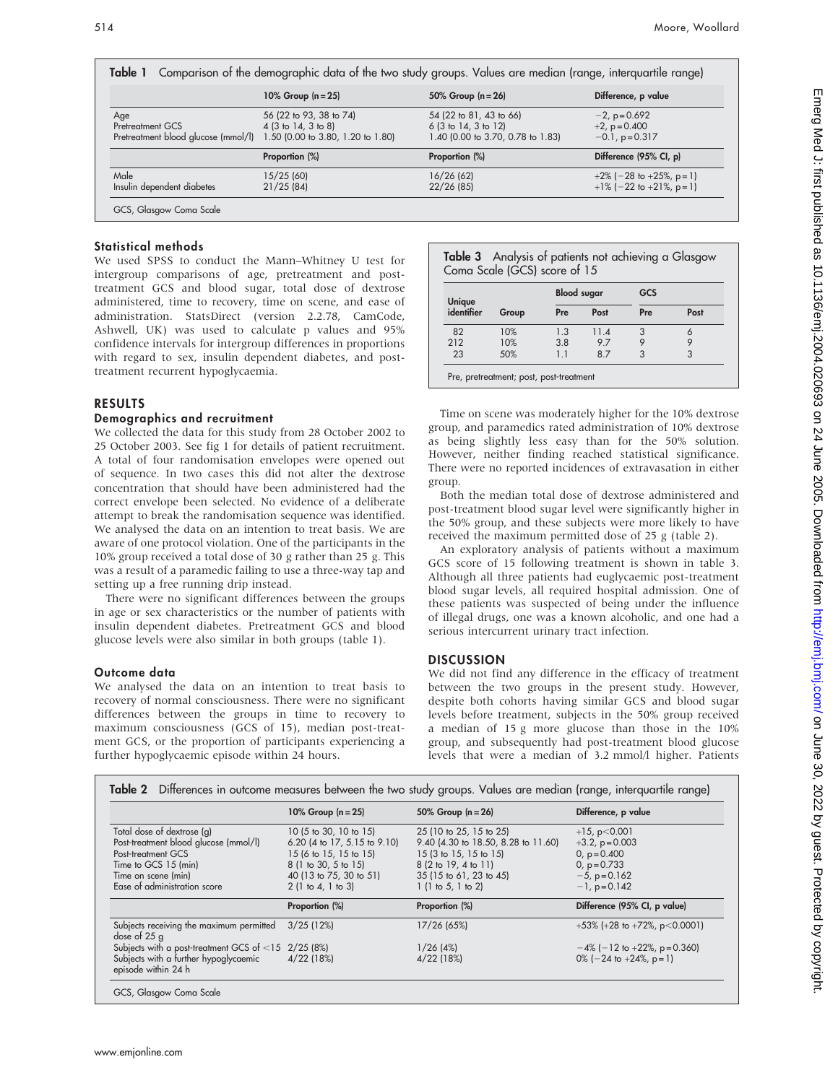|                                     | 10% Group $(n = 25)$                   | 50% Group $(n = 26)$                    | Difference, p value        |
|-------------------------------------|----------------------------------------|-----------------------------------------|----------------------------|
| Age                                 | 56 (22 to 93, 38 to 74)                | 54 (22 to 81, 43 to 66)                 | $-2$ , p=0.692             |
| Pretreatment GCS                    | $4(3 \text{ to } 14, 3 \text{ to } 8)$ | $6(3 \text{ to } 14, 3 \text{ to } 12)$ | $+2$ , p=0.400             |
| Pretreatment blood glucose (mmol/l) | 1.50 (0.00 to 3.80, 1.20 to 1.80)      | 1.40 (0.00 to 3.70, 0.78 to 1.83)       | $-0.1$ , p=0.317           |
|                                     | Proportion (%)                         | Proportion (%)                          | Difference (95% CI, p)     |
| Male                                | 15/25 (60)                             | 16/26 (62)                              | $+2\%$ (-28 to +25%, p=1)  |
| Insulin dependent diabetes          | 21/25(84)                              | 22/26(85)                               | $+1\%$ (-22 to +21\%, p=1) |

# Statistical methods

We used SPSS to conduct the Mann–Whitney U test for intergroup comparisons of age, pretreatment and posttreatment GCS and blood sugar, total dose of dextrose administered, time to recovery, time on scene, and ease of administration. StatsDirect (version 2.2.78, CamCode, Ashwell, UK) was used to calculate p values and 95% confidence intervals for intergroup differences in proportions with regard to sex, insulin dependent diabetes, and posttreatment recurrent hypoglycaemia.

# RESULTS

#### Demographics and recruitment

We collected the data for this study from 28 October 2002 to 25 October 2003. See fig 1 for details of patient recruitment. A total of four randomisation envelopes were opened out of sequence. In two cases this did not alter the dextrose concentration that should have been administered had the correct envelope been selected. No evidence of a deliberate attempt to break the randomisation sequence was identified. We analysed the data on an intention to treat basis. We are aware of one protocol violation. One of the participants in the 10% group received a total dose of 30 g rather than 25 g. This was a result of a paramedic failing to use a three-way tap and setting up a free running drip instead.

There were no significant differences between the groups in age or sex characteristics or the number of patients with insulin dependent diabetes. Pretreatment GCS and blood glucose levels were also similar in both groups (table 1).

## Outcome data

We analysed the data on an intention to treat basis to recovery of normal consciousness. There were no significant differences between the groups in time to recovery to maximum consciousness (GCS of 15), median post-treatment GCS, or the proportion of participants experiencing a further hypoglycaemic episode within 24 hours.

|  | Table 3 Analysis of patients not achieving a Glasgow |  |  |
|--|------------------------------------------------------|--|--|
|  | Coma Scale (GCS) score of 15                         |  |  |

| Unique<br>identifier | Group | <b>Blood sugar</b> |      | GCS |      |
|----------------------|-------|--------------------|------|-----|------|
|                      |       | Pre                | Post | Pre | Post |
| 82                   | 10%   | 1.3                | 11.4 |     | 6    |
| 212                  | 10%   | 3.8                | 9.7  |     |      |
| 23                   | 50%   | 11                 | 8.7  | 3   | 3    |

Time on scene was moderately higher for the 10% dextrose group, and paramedics rated administration of 10% dextrose as being slightly less easy than for the 50% solution. However, neither finding reached statistical significance. There were no reported incidences of extravasation in either group.

Both the median total dose of dextrose administered and post-treatment blood sugar level were significantly higher in the 50% group, and these subjects were more likely to have received the maximum permitted dose of 25 g (table 2).

An exploratory analysis of patients without a maximum GCS score of 15 following treatment is shown in table 3. Although all three patients had euglycaemic post-treatment blood sugar levels, all required hospital admission. One of these patients was suspected of being under the influence of illegal drugs, one was a known alcoholic, and one had a serious intercurrent urinary tract infection.

## **DISCUSSION**

We did not find any difference in the efficacy of treatment between the two groups in the present study. However, despite both cohorts having similar GCS and blood sugar levels before treatment, subjects in the 50% group received a median of 15 g more glucose than those in the 10% group, and subsequently had post-treatment blood glucose levels that were a median of 3.2 mmol/l higher. Patients

|                                                                                                                                                                          | 10% Group $(n = 25)$                                                                                                                                     | 50% Group $(n = 26)$                                                                                                                                             | Difference, p value                                                                                                 |
|--------------------------------------------------------------------------------------------------------------------------------------------------------------------------|----------------------------------------------------------------------------------------------------------------------------------------------------------|------------------------------------------------------------------------------------------------------------------------------------------------------------------|---------------------------------------------------------------------------------------------------------------------|
| Total dose of dextrose (g)<br>Post-treatment blood glucose (mmol/l)<br>Post-treatment GCS<br>Time to GCS 15 (min)<br>Time on scene (min)<br>Ease of administration score | 10 (5 to 30, 10 to 15)<br>6.20 (4 to 17, 5.15 to 9.10)<br>15 (6 to 15, 15 to 15)<br>8 (1 to 30, 5 to 15)<br>40 (13 to 75, 30 to 51)<br>2(1 to 4, 1 to 3) | 25 (10 to 25, 15 to 25)<br>9.40 (4.30 to 18.50, 8.28 to 11.60)<br>15 (3 to 15, 15 to 15)<br>8 (2 to 19, 4 to 11)<br>35 (15 to 61, 23 to 45)<br>1(1 to 5, 1 to 2) | $+15$ , p $< 0.001$<br>$+3.2$ , $p = 0.003$<br>0, $p = 0.400$<br>$0, p = 0.733$<br>$-5$ , p=0.162<br>$-1$ , p=0.142 |
|                                                                                                                                                                          | Proportion (%)                                                                                                                                           | Proportion (%)                                                                                                                                                   | Difference (95% CI, p value)                                                                                        |
| Subjects receiving the maximum permitted<br>dose of 25 g                                                                                                                 | $3/25$ (12%)                                                                                                                                             | 17/26 (65%)                                                                                                                                                      | $+53\%$ (+28 to +72%, p<0.0001)                                                                                     |
| Subjects with a post-treatment GCS of $<$ 15 2/25 (8%)<br>Subjects with a further hypoglycaemic<br>episode within 24 h                                                   | $4/22$ (18%)                                                                                                                                             | 1/26(4%)<br>$4/22$ (18%)                                                                                                                                         | $-4\%$ (-12 to +22%, p=0.360)<br>$0\%$ (-24 to +24%, p=1)                                                           |